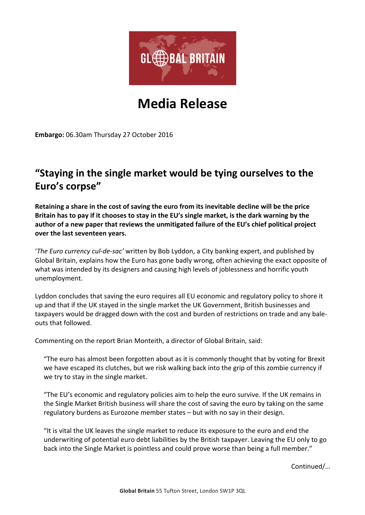

# **Media Release**

**Embargo:** 06.30am Thursday 27 October 2016

## "Staying in the single market would be tying ourselves to the **Euro's corpse"**

Retaining a share in the cost of saving the euro from its inevitable decline will be the price Britain has to pay if it chooses to stay in the EU's single market, is the dark warning by the author of a new paper that reviews the unmitigated failure of the EU's chief political project **over the last seventeen years.** 

'The Euro currency cul-de-sac' written by Bob Lyddon, a City banking expert, and published by Global Britain, explains how the Euro has gone badly wrong, often achieving the exact opposite of what was intended by its designers and causing high levels of joblessness and horrific youth unemployment.

Lyddon concludes that saving the euro requires all EU economic and regulatory policy to shore it up and that if the UK stayed in the single market the UK Government, British businesses and taxpayers would be dragged down with the cost and burden of restrictions on trade and any baleouts that followed.

Commenting on the report Brian Monteith, a director of Global Britain, said:

"The euro has almost been forgotten about as it is commonly thought that by voting for Brexit we have escaped its clutches, but we risk walking back into the grip of this zombie currency if we try to stay in the single market.

"The EU's economic and regulatory policies aim to help the euro survive. If the UK remains in the Single Market British business will share the cost of saving the euro by taking on the same regulatory burdens as Eurozone member states – but with no say in their design.

"It is vital the UK leaves the single market to reduce its exposure to the euro and end the underwriting of potential euro debt liabilities by the British taxpayer. Leaving the EU only to go back into the Single Market is pointless and could prove worse than being a full member."

Continued/…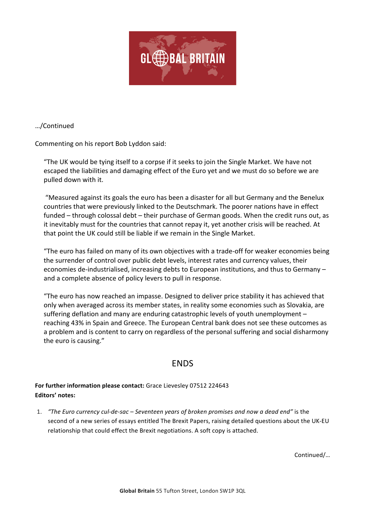

…/Continued

Commenting on his report Bob Lyddon said:

"The UK would be tying itself to a corpse if it seeks to join the Single Market. We have not escaped the liabilities and damaging effect of the Euro yet and we must do so before we are pulled down with it.

"Measured against its goals the euro has been a disaster for all but Germany and the Benelux countries that were previously linked to the Deutschmark. The poorer nations have in effect funded – through colossal debt – their purchase of German goods. When the credit runs out, as it inevitably must for the countries that cannot repay it, yet another crisis will be reached. At that point the UK could still be liable if we remain in the Single Market.

"The euro has failed on many of its own objectives with a trade-off for weaker economies being the surrender of control over public debt levels, interest rates and currency values, their economies de-industrialised, increasing debts to European institutions, and thus to Germany – and a complete absence of policy levers to pull in response.

"The euro has now reached an impasse. Designed to deliver price stability it has achieved that only when averaged across its member states, in reality some economies such as Slovakia, are suffering deflation and many are enduring catastrophic levels of youth unemployment – reaching 43% in Spain and Greece. The European Central bank does not see these outcomes as a problem and is content to carry on regardless of the personal suffering and social disharmony the euro is causing."

## ENDS

### **For further information please contact:** Grace Lievesley 07512 224643 **Editors' notes:**

1. *"The Euro currency cul-de-sac – Seventeen years of broken promises and now a dead end"* is the second of a new series of essays entitled The Brexit Papers, raising detailed questions about the UK-EU relationship that could effect the Brexit negotiations. A soft copy is attached.

Continued/…